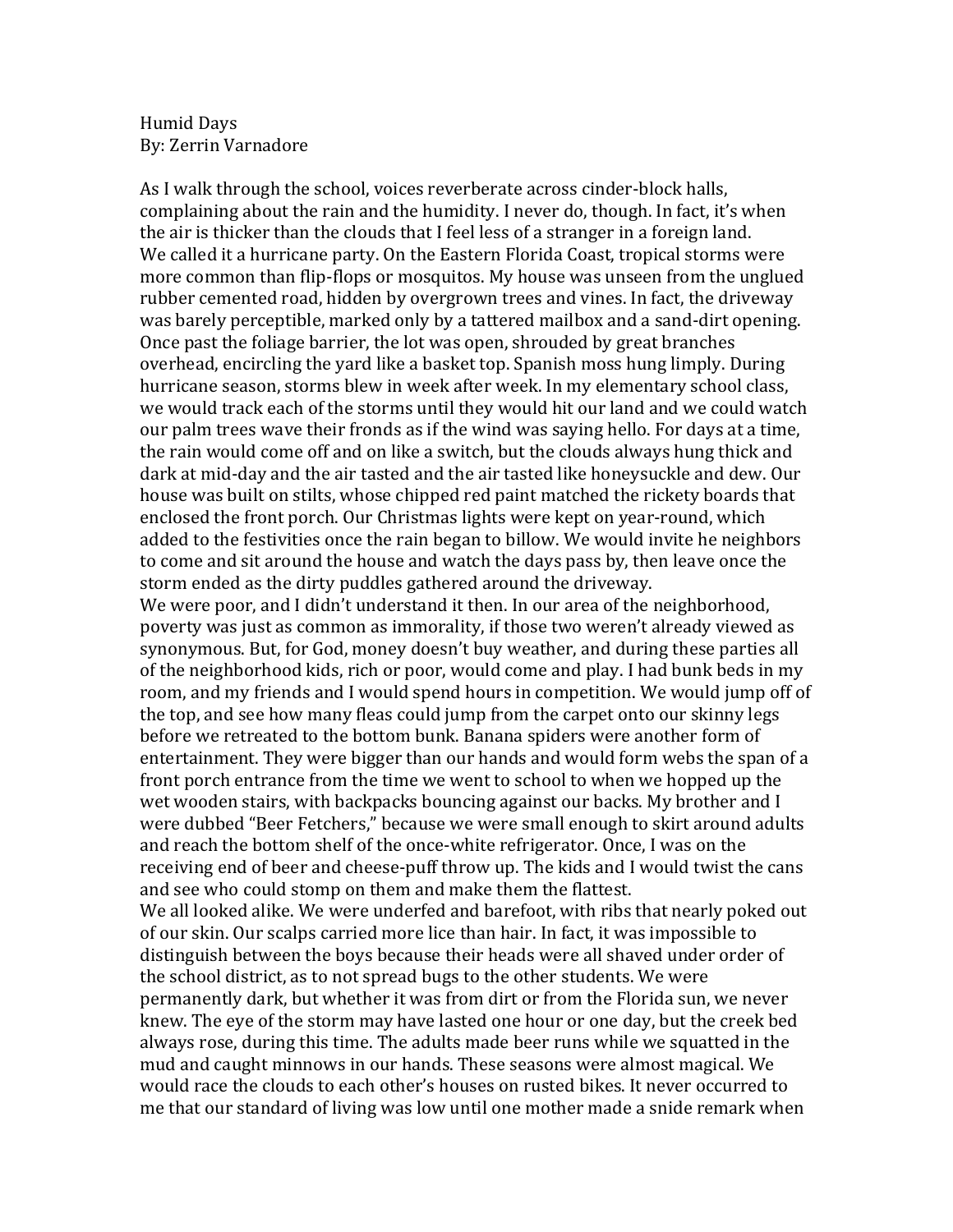## Humid Days By: Zerrin Varnadore

As I walk through the school, voices reverberate across cinder-block halls, complaining about the rain and the humidity. I never do, though. In fact, it's when the air is thicker than the clouds that I feel less of a stranger in a foreign land. We called it a hurricane party. On the Eastern Florida Coast, tropical storms were more common than flip-flops or mosquitos. My house was unseen from the unglued rubber cemented road, hidden by overgrown trees and vines. In fact, the driveway was barely perceptible, marked only by a tattered mailbox and a sand-dirt opening. Once past the foliage barrier, the lot was open, shrouded by great branches overhead, encircling the vard like a basket top. Spanish moss hung limply. During hurricane season, storms blew in week after week. In my elementary school class, we would track each of the storms until they would hit our land and we could watch our palm trees wave their fronds as if the wind was saying hello. For days at a time, the rain would come off and on like a switch, but the clouds always hung thick and dark at mid-day and the air tasted and the air tasted like honeysuckle and dew. Our house was built on stilts, whose chipped red paint matched the rickety boards that enclosed the front porch. Our Christmas lights were kept on year-round, which added to the festivities once the rain began to billow. We would invite he neighbors to come and sit around the house and watch the days pass by, then leave once the storm ended as the dirty puddles gathered around the driveway. We were poor, and I didn't understand it then. In our area of the neighborhood, poverty was just as common as immorality, if those two weren't already viewed as synonymous. But, for God, money doesn't buy weather, and during these parties all of the neighborhood kids, rich or poor, would come and play. I had bunk beds in my room, and my friends and I would spend hours in competition. We would jump off of the top, and see how many fleas could jump from the carpet onto our skinny legs before we retreated to the bottom bunk. Banana spiders were another form of entertainment. They were bigger than our hands and would form webs the span of a front porch entrance from the time we went to school to when we hopped up the wet wooden stairs, with backpacks bouncing against our backs. My brother and I were dubbed "Beer Fetchers," because we were small enough to skirt around adults and reach the bottom shelf of the once-white refrigerator. Once, I was on the receiving end of beer and cheese-puff throw up. The kids and I would twist the cans and see who could stomp on them and make them the flattest. We all looked alike. We were underfed and barefoot, with ribs that nearly poked out of our skin. Our scalps carried more lice than hair. In fact, it was impossible to distinguish between the boys because their heads were all shaved under order of the school district, as to not spread bugs to the other students. We were permanently dark, but whether it was from dirt or from the Florida sun, we never knew. The eye of the storm may have lasted one hour or one day, but the creek bed always rose, during this time. The adults made beer runs while we squatted in the mud and caught minnows in our hands. These seasons were almost magical. We would race the clouds to each other's houses on rusted bikes. It never occurred to me that our standard of living was low until one mother made a snide remark when